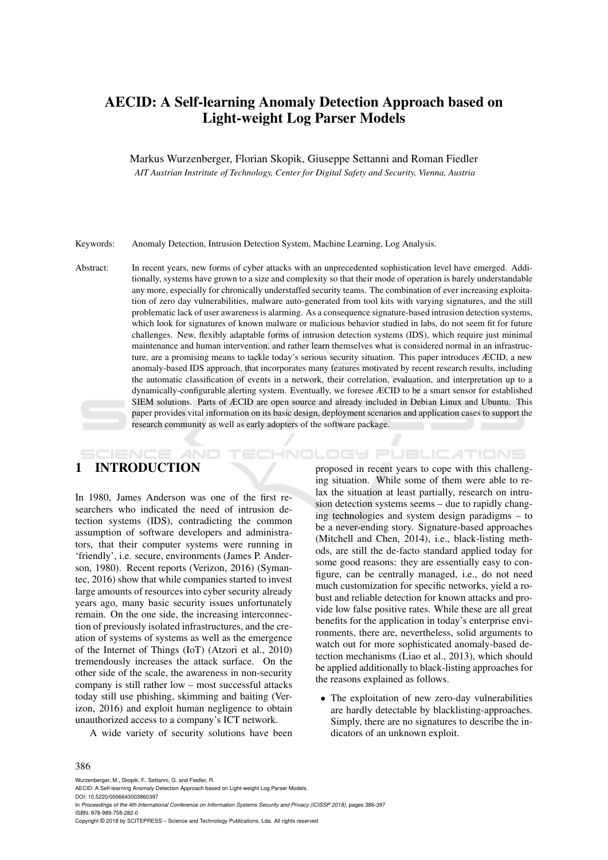# AECID: A Self-learning Anomaly Detection Approach based on Light-weight Log Parser Models

Markus Wurzenberger, Florian Skopik, Giuseppe Settanni and Roman Fiedler *AIT Austrian Instritute of Technology, Center for Digital Safety and Security, Vienna, Austria*

Keywords: Anomaly Detection, Intrusion Detection System, Machine Learning, Log Analysis.

Abstract: In recent years, new forms of cyber attacks with an unprecedented sophistication level have emerged. Additionally, systems have grown to a size and complexity so that their mode of operation is barely understandable any more, especially for chronically understaffed security teams. The combination of ever increasing exploitation of zero day vulnerabilities, malware auto-generated from tool kits with varying signatures, and the still problematic lack of user awareness is alarming. As a consequence signature-based intrusion detection systems, which look for signatures of known malware or malicious behavior studied in labs, do not seem fit for future challenges. New, flexibly adaptable forms of intrusion detection systems (IDS), which require just minimal maintenance and human intervention, and rather learn themselves what is considered normal in an infrastructure, are a promising means to tackle today's serious security situation. This paper introduces ÆCID, a new anomaly-based IDS approach, that incorporates many features motivated by recent research results, including the automatic classification of events in a network, their correlation, evaluation, and interpretation up to a dynamically-configurable alerting system. Eventually, we foresee ÆCID to be a smart sensor for established SIEM solutions. Parts of ÆCID are open source and already included in Debian Linux and Ubuntu. This paper provides vital information on its basic design, deployment scenarios and application cases to support the research community as well as early adopters of the software package.

# 1 INTRODUCTION

In 1980, James Anderson was one of the first researchers who indicated the need of intrusion detection systems (IDS), contradicting the common assumption of software developers and administrators, that their computer systems were running in 'friendly', i.e. secure, environments (James P. Anderson, 1980). Recent reports (Verizon, 2016) (Symantec, 2016) show that while companies started to invest large amounts of resources into cyber security already years ago, many basic security issues unfortunately remain. On the one side, the increasing interconnection of previously isolated infrastructures, and the creation of systems of systems as well as the emergence of the Internet of Things (IoT) (Atzori et al., 2010) tremendously increases the attack surface. On the other side of the scale, the awareness in non-security company is still rather low – most successful attacks today still use phishing, skimming and baiting (Verizon, 2016) and exploit human negligence to obtain unauthorized access to a company's ICT network.

A wide variety of security solutions have been

proposed in recent years to cope with this challenging situation. While some of them were able to relax the situation at least partially, research on intrusion detection systems seems – due to rapidly changing technologies and system design paradigms – to be a never-ending story. Signature-based approaches (Mitchell and Chen, 2014), i.e., black-listing methods, are still the de-facto standard applied today for some good reasons: they are essentially easy to configure, can be centrally managed, i.e., do not need much customization for specific networks, yield a robust and reliable detection for known attacks and provide low false positive rates. While these are all great benefits for the application in today's enterprise environments, there are, nevertheless, solid arguments to watch out for more sophisticated anomaly-based detection mechanisms (Liao et al., 2013), which should be applied additionally to black-listing approaches for the reasons explained as follows.

HNOLOGY PUBLICATIONS

• The exploitation of new zero-day vulnerabilities are hardly detectable by blacklisting-approaches. Simply, there are no signatures to describe the indicators of an unknown exploit.

#### 386

Wurzenberger, M., Skopik, F., Settanni, G. and Fiedler, R.

In *Proceedings of the 4th International Conference on Information Systems Security and Privacy (ICISSP 2018)*, pages 386-397 ISBN: 978-989-758-282-0

Copyright © 2018 by SCITEPRESS – Science and Technology Publications, Lda. All rights reserved

AECID: A Self-learning Anomaly Detection Approach based on Light-weight Log Parser Models. DOI: 10.5220/0006643003860397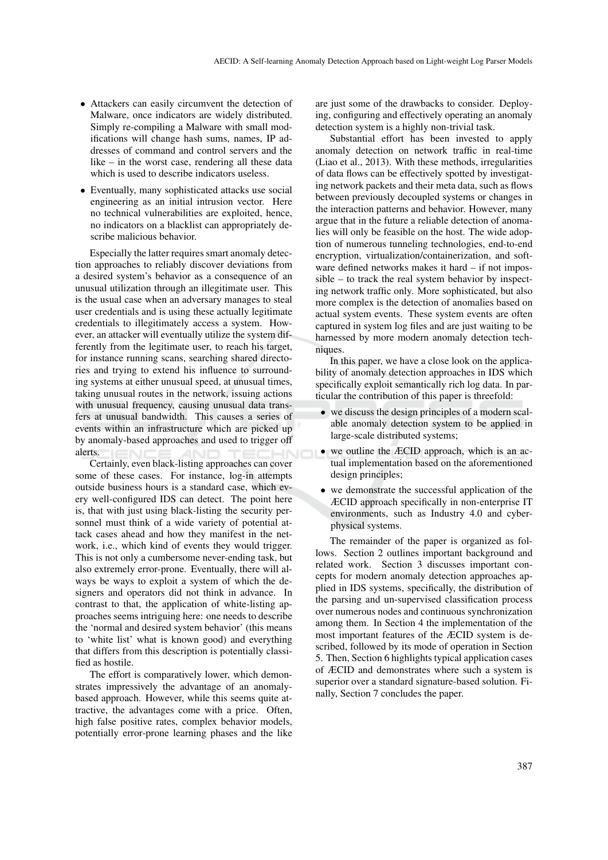- Attackers can easily circumvent the detection of Malware, once indicators are widely distributed. Simply re-compiling a Malware with small modifications will change hash sums, names, IP addresses of command and control servers and the like – in the worst case, rendering all these data which is used to describe indicators useless.
- Eventually, many sophisticated attacks use social engineering as an initial intrusion vector. Here no technical vulnerabilities are exploited, hence, no indicators on a blacklist can appropriately describe malicious behavior.

Especially the latter requires smart anomaly detection approaches to reliably discover deviations from a desired system's behavior as a consequence of an unusual utilization through an illegitimate user. This is the usual case when an adversary manages to steal user credentials and is using these actually legitimate credentials to illegitimately access a system. However, an attacker will eventually utilize the system differently from the legitimate user, to reach his target, for instance running scans, searching shared directories and trying to extend his influence to surrounding systems at either unusual speed, at unusual times, taking unusual routes in the network, issuing actions with unusual frequency, causing unusual data transfers at unusual bandwidth. This causes a series of events within an infrastructure which are picked up by anomaly-based approaches and used to trigger off alerts.

Certainly, even black-listing approaches can cover some of these cases. For instance, log-in attempts outside business hours is a standard case, which every well-configured IDS can detect. The point here is, that with just using black-listing the security personnel must think of a wide variety of potential attack cases ahead and how they manifest in the network, i.e., which kind of events they would trigger. This is not only a cumbersome never-ending task, but also extremely error-prone. Eventually, there will always be ways to exploit a system of which the designers and operators did not think in advance. In contrast to that, the application of white-listing approaches seems intriguing here: one needs to describe the 'normal and desired system behavior' (this means to 'white list' what is known good) and everything that differs from this description is potentially classified as hostile.

The effort is comparatively lower, which demonstrates impressively the advantage of an anomalybased approach. However, while this seems quite attractive, the advantages come with a price. Often, high false positive rates, complex behavior models, potentially error-prone learning phases and the like are just some of the drawbacks to consider. Deploying, configuring and effectively operating an anomaly detection system is a highly non-trivial task.

Substantial effort has been invested to apply anomaly detection on network traffic in real-time (Liao et al., 2013). With these methods, irregularities of data flows can be effectively spotted by investigating network packets and their meta data, such as flows between previously decoupled systems or changes in the interaction patterns and behavior. However, many argue that in the future a reliable detection of anomalies will only be feasible on the host. The wide adoption of numerous tunneling technologies, end-to-end encryption, virtualization/containerization, and software defined networks makes it hard – if not impossible – to track the real system behavior by inspecting network traffic only. More sophisticated, but also more complex is the detection of anomalies based on actual system events. These system events are often captured in system log files and are just waiting to be harnessed by more modern anomaly detection techniques.

In this paper, we have a close look on the applicability of anomaly detection approaches in IDS which specifically exploit semantically rich log data. In particular the contribution of this paper is threefold:

- we discuss the design principles of a modern scalable anomaly detection system to be applied in large-scale distributed systems;
- we outline the ÆCID approach, which is an actual implementation based on the aforementioned design principles;
- we demonstrate the successful application of the ÆCID approach specifically in non-enterprise IT environments, such as Industry 4.0 and cyberphysical systems.

The remainder of the paper is organized as follows. Section 2 outlines important background and related work. Section 3 discusses important concepts for modern anomaly detection approaches applied in IDS systems, specifically, the distribution of the parsing and un-supervised classification process over numerous nodes and continuous synchronization among them. In Section 4 the implementation of the most important features of the ÆCID system is described, followed by its mode of operation in Section 5. Then, Section 6 highlights typical application cases of ÆCID and demonstrates where such a system is superior over a standard signature-based solution. Finally, Section 7 concludes the paper.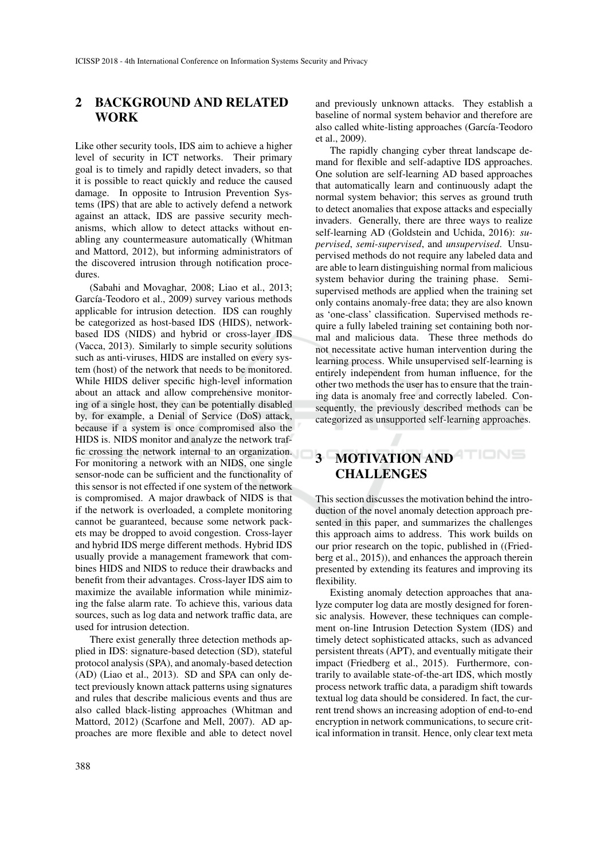## 2 BACKGROUND AND RELATED **WORK**

Like other security tools, IDS aim to achieve a higher level of security in ICT networks. Their primary goal is to timely and rapidly detect invaders, so that it is possible to react quickly and reduce the caused damage. In opposite to Intrusion Prevention Systems (IPS) that are able to actively defend a network against an attack, IDS are passive security mechanisms, which allow to detect attacks without enabling any countermeasure automatically (Whitman and Mattord, 2012), but informing administrators of the discovered intrusion through notification procedures.

(Sabahi and Movaghar, 2008; Liao et al., 2013; García-Teodoro et al., 2009) survey various methods applicable for intrusion detection. IDS can roughly be categorized as host-based IDS (HIDS), networkbased IDS (NIDS) and hybrid or cross-layer IDS (Vacca, 2013). Similarly to simple security solutions such as anti-viruses, HIDS are installed on every system (host) of the network that needs to be monitored. While HIDS deliver specific high-level information about an attack and allow comprehensive monitoring of a single host, they can be potentially disabled by, for example, a Denial of Service (DoS) attack, because if a system is once compromised also the HIDS is. NIDS monitor and analyze the network traffic crossing the network internal to an organization. For monitoring a network with an NIDS, one single sensor-node can be sufficient and the functionality of this sensor is not effected if one system of the network is compromised. A major drawback of NIDS is that if the network is overloaded, a complete monitoring cannot be guaranteed, because some network packets may be dropped to avoid congestion. Cross-layer and hybrid IDS merge different methods. Hybrid IDS usually provide a management framework that combines HIDS and NIDS to reduce their drawbacks and benefit from their advantages. Cross-layer IDS aim to maximize the available information while minimizing the false alarm rate. To achieve this, various data sources, such as log data and network traffic data, are used for intrusion detection.

There exist generally three detection methods applied in IDS: signature-based detection (SD), stateful protocol analysis (SPA), and anomaly-based detection (AD) (Liao et al., 2013). SD and SPA can only detect previously known attack patterns using signatures and rules that describe malicious events and thus are also called black-listing approaches (Whitman and Mattord, 2012) (Scarfone and Mell, 2007). AD approaches are more flexible and able to detect novel

and previously unknown attacks. They establish a baseline of normal system behavior and therefore are also called white-listing approaches (García-Teodoro et al., 2009).

The rapidly changing cyber threat landscape demand for flexible and self-adaptive IDS approaches. One solution are self-learning AD based approaches that automatically learn and continuously adapt the normal system behavior; this serves as ground truth to detect anomalies that expose attacks and especially invaders. Generally, there are three ways to realize self-learning AD (Goldstein and Uchida, 2016): *supervised*, *semi-supervised*, and *unsupervised*. Unsupervised methods do not require any labeled data and are able to learn distinguishing normal from malicious system behavior during the training phase. Semisupervised methods are applied when the training set only contains anomaly-free data; they are also known as 'one-class' classification. Supervised methods require a fully labeled training set containing both normal and malicious data. These three methods do not necessitate active human intervention during the learning process. While unsupervised self-learning is entirely independent from human influence, for the other two methods the user has to ensure that the training data is anomaly free and correctly labeled. Consequently, the previously described methods can be categorized as unsupported self-learning approaches.

# 3 MOTIVATION AND CHALLENGES

This section discusses the motivation behind the introduction of the novel anomaly detection approach presented in this paper, and summarizes the challenges this approach aims to address. This work builds on our prior research on the topic, published in ((Friedberg et al., 2015)), and enhances the approach therein presented by extending its features and improving its flexibility.

Existing anomaly detection approaches that analyze computer log data are mostly designed for forensic analysis. However, these techniques can complement on-line Intrusion Detection System (IDS) and timely detect sophisticated attacks, such as advanced persistent threats (APT), and eventually mitigate their impact (Friedberg et al., 2015). Furthermore, contrarily to available state-of-the-art IDS, which mostly process network traffic data, a paradigm shift towards textual log data should be considered. In fact, the current trend shows an increasing adoption of end-to-end encryption in network communications, to secure critical information in transit. Hence, only clear text meta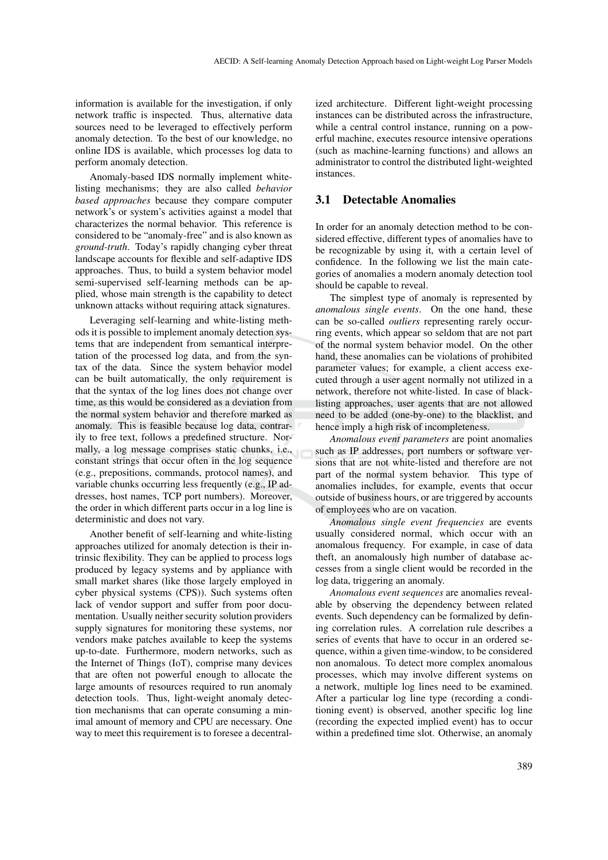information is available for the investigation, if only network traffic is inspected. Thus, alternative data sources need to be leveraged to effectively perform anomaly detection. To the best of our knowledge, no online IDS is available, which processes log data to perform anomaly detection.

Anomaly-based IDS normally implement whitelisting mechanisms; they are also called *behavior based approaches* because they compare computer network's or system's activities against a model that characterizes the normal behavior. This reference is considered to be "anomaly-free" and is also known as *ground-truth*. Today's rapidly changing cyber threat landscape accounts for flexible and self-adaptive IDS approaches. Thus, to build a system behavior model semi-supervised self-learning methods can be applied, whose main strength is the capability to detect unknown attacks without requiring attack signatures.

Leveraging self-learning and white-listing methods it is possible to implement anomaly detection systems that are independent from semantical interpretation of the processed log data, and from the syntax of the data. Since the system behavior model can be built automatically, the only requirement is that the syntax of the log lines does not change over time, as this would be considered as a deviation from the normal system behavior and therefore marked as anomaly. This is feasible because log data, contrarily to free text, follows a predefined structure. Normally, a log message comprises static chunks, i.e., constant strings that occur often in the log sequence (e.g., prepositions, commands, protocol names), and variable chunks occurring less frequently (e.g., IP addresses, host names, TCP port numbers). Moreover, the order in which different parts occur in a log line is deterministic and does not vary.

Another benefit of self-learning and white-listing approaches utilized for anomaly detection is their intrinsic flexibility. They can be applied to process logs produced by legacy systems and by appliance with small market shares (like those largely employed in cyber physical systems (CPS)). Such systems often lack of vendor support and suffer from poor documentation. Usually neither security solution providers supply signatures for monitoring these systems, nor vendors make patches available to keep the systems up-to-date. Furthermore, modern networks, such as the Internet of Things (IoT), comprise many devices that are often not powerful enough to allocate the large amounts of resources required to run anomaly detection tools. Thus, light-weight anomaly detection mechanisms that can operate consuming a minimal amount of memory and CPU are necessary. One way to meet this requirement is to foresee a decentral-

ized architecture. Different light-weight processing instances can be distributed across the infrastructure, while a central control instance, running on a powerful machine, executes resource intensive operations (such as machine-learning functions) and allows an administrator to control the distributed light-weighted instances.

### 3.1 Detectable Anomalies

In order for an anomaly detection method to be considered effective, different types of anomalies have to be recognizable by using it, with a certain level of confidence. In the following we list the main categories of anomalies a modern anomaly detection tool should be capable to reveal.

The simplest type of anomaly is represented by *anomalous single events*. On the one hand, these can be so-called *outliers* representing rarely occurring events, which appear so seldom that are not part of the normal system behavior model. On the other hand, these anomalies can be violations of prohibited parameter values; for example, a client access executed through a user agent normally not utilized in a network, therefore not white-listed. In case of blacklisting approaches, user agents that are not allowed need to be added (one-by-one) to the blacklist, and hence imply a high risk of incompleteness.

*Anomalous event parameters* are point anomalies such as IP addresses, port numbers or software versions that are not white-listed and therefore are not part of the normal system behavior. This type of anomalies includes, for example, events that occur outside of business hours, or are triggered by accounts of employees who are on vacation.

*Anomalous single event frequencies* are events usually considered normal, which occur with an anomalous frequency. For example, in case of data theft, an anomalously high number of database accesses from a single client would be recorded in the log data, triggering an anomaly.

*Anomalous event sequences* are anomalies revealable by observing the dependency between related events. Such dependency can be formalized by defining correlation rules. A correlation rule describes a series of events that have to occur in an ordered sequence, within a given time-window, to be considered non anomalous. To detect more complex anomalous processes, which may involve different systems on a network, multiple log lines need to be examined. After a particular log line type (recording a conditioning event) is observed, another specific log line (recording the expected implied event) has to occur within a predefined time slot. Otherwise, an anomaly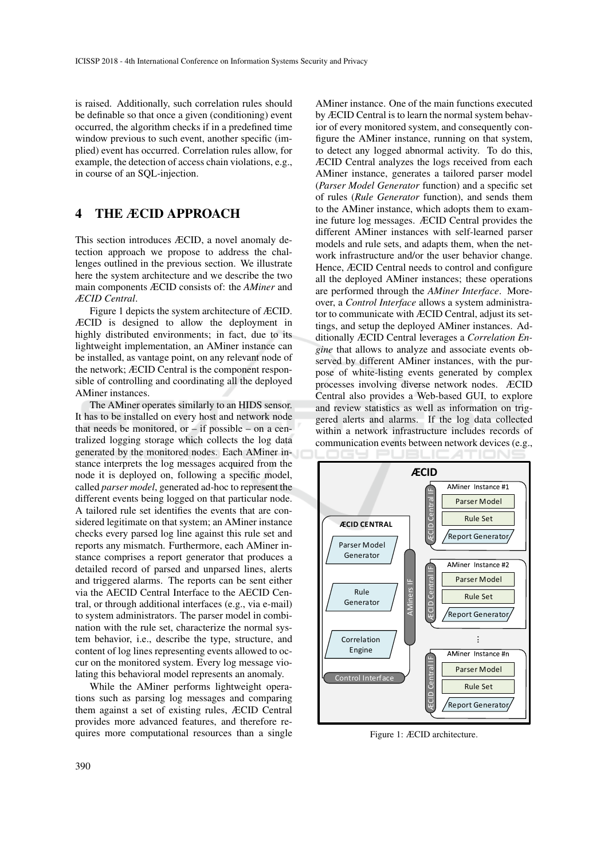is raised. Additionally, such correlation rules should be definable so that once a given (conditioning) event occurred, the algorithm checks if in a predefined time window previous to such event, another specific (implied) event has occurred. Correlation rules allow, for example, the detection of access chain violations, e.g., in course of an SQL-injection.

# 4 THE ÆCID APPROACH

This section introduces ÆCID, a novel anomaly detection approach we propose to address the challenges outlined in the previous section. We illustrate here the system architecture and we describe the two main components ÆCID consists of: the *AMiner* and *ÆCID Central*.

Figure 1 depicts the system architecture of ÆCID. ÆCID is designed to allow the deployment in highly distributed environments; in fact, due to its lightweight implementation, an AMiner instance can be installed, as vantage point, on any relevant node of the network; ÆCID Central is the component responsible of controlling and coordinating all the deployed AMiner instances.

The AMiner operates similarly to an HIDS sensor. It has to be installed on every host and network node that needs be monitored, or  $-$  if possible  $-$  on a centralized logging storage which collects the log data generated by the monitored nodes. Each AMiner instance interprets the log messages acquired from the node it is deployed on, following a specific model, called *parser model*, generated ad-hoc to represent the different events being logged on that particular node. A tailored rule set identifies the events that are considered legitimate on that system; an AMiner instance checks every parsed log line against this rule set and reports any mismatch. Furthermore, each AMiner instance comprises a report generator that produces a detailed record of parsed and unparsed lines, alerts and triggered alarms. The reports can be sent either via the AECID Central Interface to the AECID Central, or through additional interfaces (e.g., via e-mail) to system administrators. The parser model in combination with the rule set, characterize the normal system behavior, i.e., describe the type, structure, and content of log lines representing events allowed to occur on the monitored system. Every log message violating this behavioral model represents an anomaly.

While the AMiner performs lightweight operations such as parsing log messages and comparing them against a set of existing rules, ÆCID Central provides more advanced features, and therefore requires more computational resources than a single

AMiner instance. One of the main functions executed by ÆCID Central is to learn the normal system behavior of every monitored system, and consequently configure the AMiner instance, running on that system, to detect any logged abnormal activity. To do this, ÆCID Central analyzes the logs received from each AMiner instance, generates a tailored parser model (*Parser Model Generator* function) and a specific set of rules (*Rule Generator* function), and sends them to the AMiner instance, which adopts them to examine future log messages. ÆCID Central provides the different AMiner instances with self-learned parser models and rule sets, and adapts them, when the network infrastructure and/or the user behavior change. Hence, ÆCID Central needs to control and configure all the deployed AMiner instances; these operations are performed through the *AMiner Interface*. Moreover, a *Control Interface* allows a system administrator to communicate with ÆCID Central, adjust its settings, and setup the deployed AMiner instances. Additionally ÆCID Central leverages a *Correlation Engine* that allows to analyze and associate events observed by different AMiner instances, with the purpose of white-listing events generated by complex processes involving diverse network nodes. ÆCID Central also provides a Web-based GUI, to explore and review statistics as well as information on triggered alerts and alarms. If the log data collected within a network infrastructure includes records of communication events between network devices (e.g.,



Figure 1: ÆCID architecture.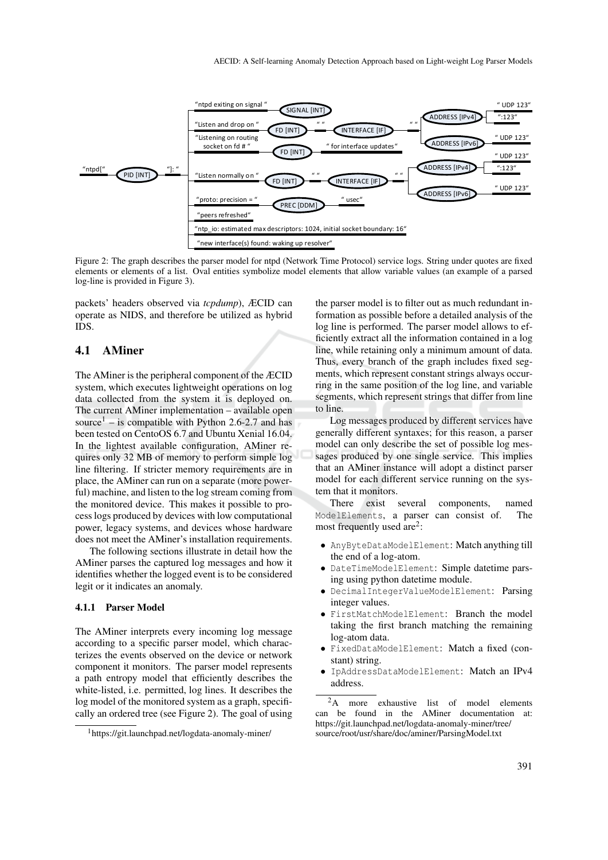

Figure 2: The graph describes the parser model for ntpd (Network Time Protocol) service logs. String under quotes are fixed elements or elements of a list. Oval entities symbolize model elements that allow variable values (an example of a parsed log-line is provided in Figure 3).

packets' headers observed via *tcpdump*), ÆCID can operate as NIDS, and therefore be utilized as hybrid IDS.

### 4.1 AMiner

The AMiner is the peripheral component of the ÆCID system, which executes lightweight operations on log data collected from the system it is deployed on. The current AMiner implementation – available open source<sup>1</sup> – is compatible with Python 2.6-2.7 and has been tested on CentoOS 6.7 and Ubuntu Xenial 16.04. In the lightest available configuration, AMiner requires only 32 MB of memory to perform simple log line filtering. If stricter memory requirements are in place, the AMiner can run on a separate (more powerful) machine, and listen to the log stream coming from the monitored device. This makes it possible to process logs produced by devices with low computational power, legacy systems, and devices whose hardware does not meet the AMiner's installation requirements.

The following sections illustrate in detail how the AMiner parses the captured log messages and how it identifies whether the logged event is to be considered legit or it indicates an anomaly.

#### 4.1.1 Parser Model

The AMiner interprets every incoming log message according to a specific parser model, which characterizes the events observed on the device or network component it monitors. The parser model represents a path entropy model that efficiently describes the white-listed, i.e. permitted, log lines. It describes the log model of the monitored system as a graph, specifically an ordered tree (see Figure 2). The goal of using

the parser model is to filter out as much redundant information as possible before a detailed analysis of the log line is performed. The parser model allows to efficiently extract all the information contained in a log line, while retaining only a minimum amount of data. Thus, every branch of the graph includes fixed segments, which represent constant strings always occurring in the same position of the log line, and variable segments, which represent strings that differ from line to line.

Log messages produced by different services have generally different syntaxes; for this reason, a parser model can only describe the set of possible log messages produced by one single service. This implies that an AMiner instance will adopt a distinct parser model for each different service running on the system that it monitors.

There exist several components, named ModelElements, a parser can consist of. The most frequently used are<sup>2</sup>:

- AnyByteDataModelElement: Match anything till the end of a log-atom.
- DateTimeModelElement: Simple datetime parsing using python datetime module.
- DecimalIntegerValueModelElement: Parsing integer values.
- FirstMatchModelElement: Branch the model taking the first branch matching the remaining log-atom data.
- FixedDataModelElement: Match a fixed (constant) string.
- IpAddressDataModelElement: Match an IPv4 address.

<sup>1</sup>https://git.launchpad.net/logdata-anomaly-miner/

<sup>&</sup>lt;sup>2</sup>A more exhaustive list of model elements can be found in the AMiner documentation at: https://git.launchpad.net/logdata-anomaly-miner/tree/ source/root/usr/share/doc/aminer/ParsingModel.txt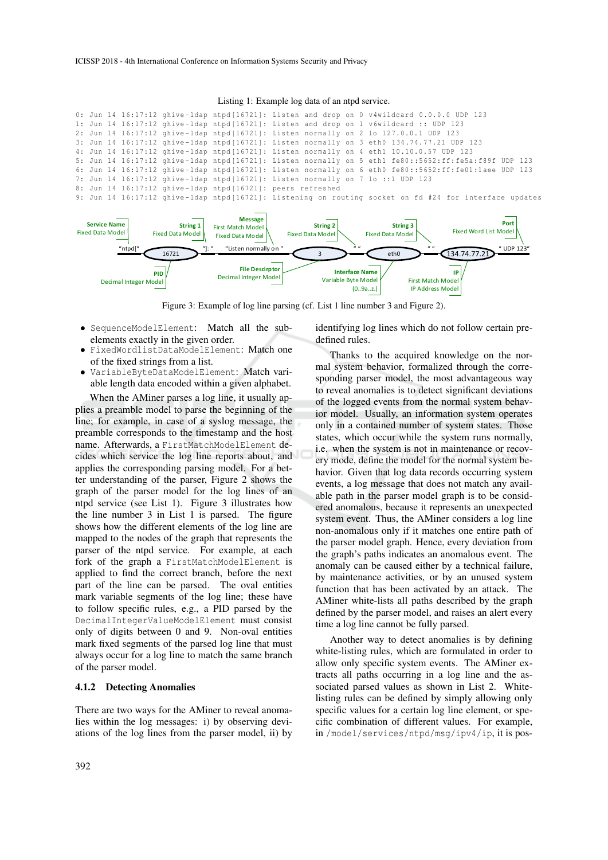Listing 1: Example log data of an ntpd service.





Figure 3: Example of log line parsing (cf. List 1 line number 3 and Figure 2).

- SequenceModelElement: Match all the subelements exactly in the given order.
- FixedWordlistDataModelElement: Match one of the fixed strings from a list.
- VariableByteDataModelElement: Match variable length data encoded within a given alphabet.

When the AMiner parses a log line, it usually applies a preamble model to parse the beginning of the line; for example, in case of a syslog message, the preamble corresponds to the timestamp and the host name. Afterwards, a FirstMatchModelElement decides which service the log line reports about, and applies the corresponding parsing model. For a better understanding of the parser, Figure 2 shows the graph of the parser model for the log lines of an ntpd service (see List 1). Figure 3 illustrates how the line number 3 in List 1 is parsed. The figure shows how the different elements of the log line are mapped to the nodes of the graph that represents the parser of the ntpd service. For example, at each fork of the graph a FirstMatchModelElement is applied to find the correct branch, before the next part of the line can be parsed. The oval entities mark variable segments of the log line; these have to follow specific rules, e.g., a PID parsed by the DecimalIntegerValueModelElement must consist only of digits between 0 and 9. Non-oval entities mark fixed segments of the parsed log line that must always occur for a log line to match the same branch of the parser model.

#### 4.1.2 Detecting Anomalies

There are two ways for the AMiner to reveal anomalies within the log messages: i) by observing deviations of the log lines from the parser model, ii) by identifying log lines which do not follow certain predefined rules.

Thanks to the acquired knowledge on the normal system behavior, formalized through the corresponding parser model, the most advantageous way to reveal anomalies is to detect significant deviations of the logged events from the normal system behavior model. Usually, an information system operates only in a contained number of system states. Those states, which occur while the system runs normally, i.e. when the system is not in maintenance or recovery mode, define the model for the normal system behavior. Given that log data records occurring system events, a log message that does not match any available path in the parser model graph is to be considered anomalous, because it represents an unexpected system event. Thus, the AMiner considers a log line non-anomalous only if it matches one entire path of the parser model graph. Hence, every deviation from the graph's paths indicates an anomalous event. The anomaly can be caused either by a technical failure, by maintenance activities, or by an unused system function that has been activated by an attack. The AMiner white-lists all paths described by the graph defined by the parser model, and raises an alert every time a log line cannot be fully parsed.

Another way to detect anomalies is by defining white-listing rules, which are formulated in order to allow only specific system events. The AMiner extracts all paths occurring in a log line and the associated parsed values as shown in List 2. Whitelisting rules can be defined by simply allowing only specific values for a certain log line element, or specific combination of different values. For example, in /model/services/ntpd/msg/ipv4/ip, it is pos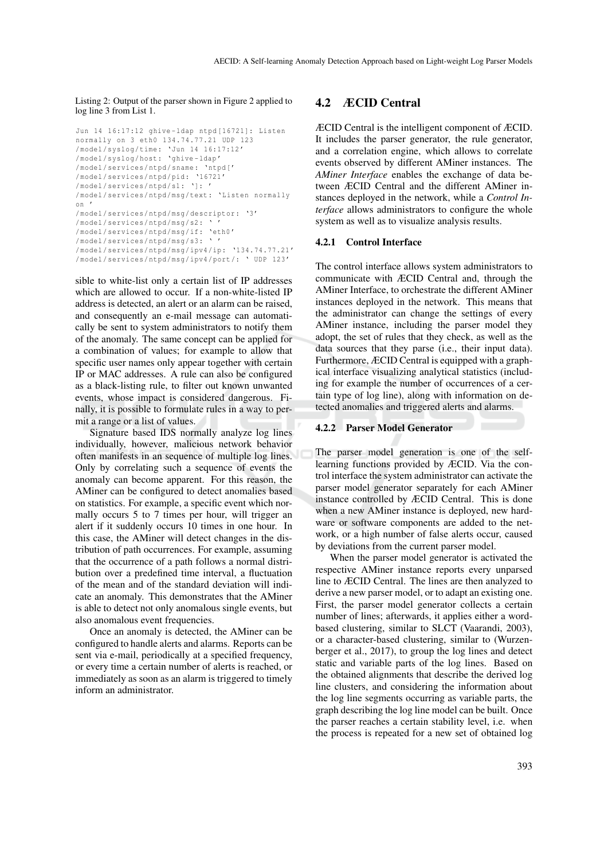Listing 2: Output of the parser shown in Figure 2 applied to log line 3 from List 1.

```
Jun 14 16:17:12 ghive - ldap ntpd [16721]: Listen
normally on 3 eth0 134.74.77.21 UDP 123
/ model / syslog / time : 'Jun 14 16:17:12 '
/ model / syslog / host : 'ghive - ldap '
/ model / services / ntpd / sname : ' ntpd ['
/ model / services / ntpd / pid : '16721 '
/model/services/ntpd/s1: ']: '
/ model / services / ntpd / msg / text : ' Listen normally
on '
/ model / services / ntpd / msg / descriptor : '3'
/ model / services / ntpd / msg / s2 : ' '
/ model / services / ntpd / msg / if : 'eth0 '
/ model / services / ntpd / msg / s3 : ' '
/ model / services / ntpd / msg / ipv4 / ip : '134.74.77.21 '
/ model / services / ntpd / msg / ipv4 / port /: ' UDP 123 '
```
sible to white-list only a certain list of IP addresses which are allowed to occur. If a non-white-listed IP address is detected, an alert or an alarm can be raised, and consequently an e-mail message can automatically be sent to system administrators to notify them of the anomaly. The same concept can be applied for a combination of values; for example to allow that specific user names only appear together with certain IP or MAC addresses. A rule can also be configured as a black-listing rule, to filter out known unwanted events, whose impact is considered dangerous. Finally, it is possible to formulate rules in a way to permit a range or a list of values.

Signature based IDS normally analyze log lines individually, however, malicious network behavior often manifests in an sequence of multiple log lines. Only by correlating such a sequence of events the anomaly can become apparent. For this reason, the AMiner can be configured to detect anomalies based on statistics. For example, a specific event which normally occurs 5 to 7 times per hour, will trigger an alert if it suddenly occurs 10 times in one hour. In this case, the AMiner will detect changes in the distribution of path occurrences. For example, assuming that the occurrence of a path follows a normal distribution over a predefined time interval, a fluctuation of the mean and of the standard deviation will indicate an anomaly. This demonstrates that the AMiner is able to detect not only anomalous single events, but also anomalous event frequencies.

Once an anomaly is detected, the AMiner can be configured to handle alerts and alarms. Reports can be sent via e-mail, periodically at a specified frequency, or every time a certain number of alerts is reached, or immediately as soon as an alarm is triggered to timely inform an administrator.

### 4.2 ÆCID Central

ÆCID Central is the intelligent component of ÆCID. It includes the parser generator, the rule generator, and a correlation engine, which allows to correlate events observed by different AMiner instances. The *AMiner Interface* enables the exchange of data between ÆCID Central and the different AMiner instances deployed in the network, while a *Control Interface* allows administrators to configure the whole system as well as to visualize analysis results.

#### 4.2.1 Control Interface

The control interface allows system administrators to communicate with ÆCID Central and, through the AMiner Interface, to orchestrate the different AMiner instances deployed in the network. This means that the administrator can change the settings of every AMiner instance, including the parser model they adopt, the set of rules that they check, as well as the data sources that they parse (i.e., their input data). Furthermore, ÆCID Central is equipped with a graphical interface visualizing analytical statistics (including for example the number of occurrences of a certain type of log line), along with information on detected anomalies and triggered alerts and alarms.

#### 4.2.2 Parser Model Generator

The parser model generation is one of the selflearning functions provided by ÆCID. Via the control interface the system administrator can activate the parser model generator separately for each AMiner instance controlled by ÆCID Central. This is done when a new AMiner instance is deployed, new hardware or software components are added to the network, or a high number of false alerts occur, caused by deviations from the current parser model.

When the parser model generator is activated the respective AMiner instance reports every unparsed line to ÆCID Central. The lines are then analyzed to derive a new parser model, or to adapt an existing one. First, the parser model generator collects a certain number of lines; afterwards, it applies either a wordbased clustering, similar to SLCT (Vaarandi, 2003), or a character-based clustering, similar to (Wurzenberger et al., 2017), to group the log lines and detect static and variable parts of the log lines. Based on the obtained alignments that describe the derived log line clusters, and considering the information about the log line segments occurring as variable parts, the graph describing the log line model can be built. Once the parser reaches a certain stability level, i.e. when the process is repeated for a new set of obtained log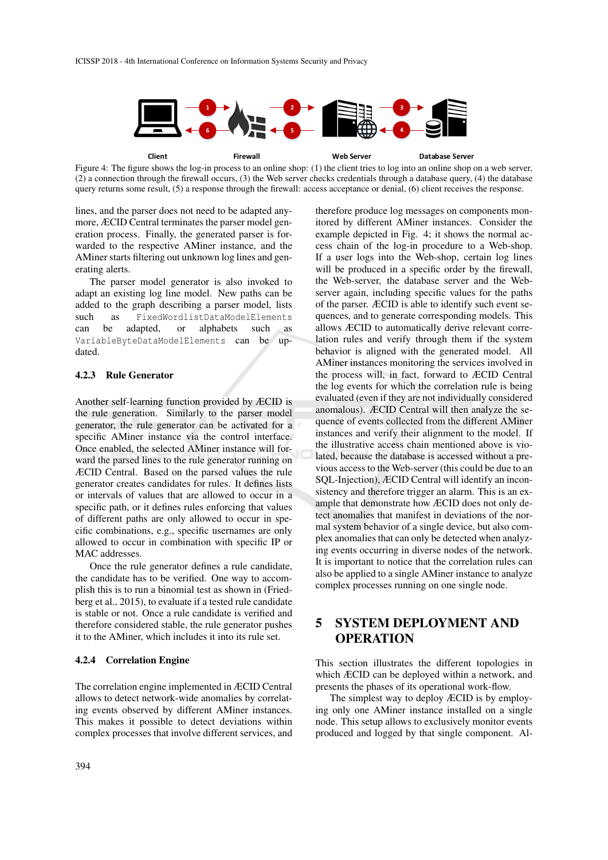

Figure 4: The figure shows the log-in process to an online shop: (1) the client tries to log into an online shop on a web server, (2) a connection through the firewall occurs, (3) the Web server checks credentials through a database query, (4) the database query returns some result, (5) a response through the firewall: access acceptance or denial, (6) client receives the response.

lines, and the parser does not need to be adapted anymore, ÆCID Central terminates the parser model generation process. Finally, the generated parser is forwarded to the respective AMiner instance, and the AMiner starts filtering out unknown log lines and generating alerts.

The parser model generator is also invoked to adapt an existing log line model. New paths can be added to the graph describing a parser model, lists such as FixedWordlistDataModelElements can be adapted, or alphabets such as VariableByteDataModelElements can be updated.

### 4.2.3 Rule Generator

Another self-learning function provided by ÆCID is the rule generation. Similarly to the parser model generator, the rule generator can be activated for a specific AMiner instance via the control interface. Once enabled, the selected AMiner instance will forward the parsed lines to the rule generator running on ÆCID Central. Based on the parsed values the rule generator creates candidates for rules. It defines lists or intervals of values that are allowed to occur in a specific path, or it defines rules enforcing that values of different paths are only allowed to occur in specific combinations, e.g., specific usernames are only allowed to occur in combination with specific IP or MAC addresses.

Once the rule generator defines a rule candidate, the candidate has to be verified. One way to accomplish this is to run a binomial test as shown in (Friedberg et al., 2015), to evaluate if a tested rule candidate is stable or not. Once a rule candidate is verified and therefore considered stable, the rule generator pushes it to the AMiner, which includes it into its rule set.

#### 4.2.4 Correlation Engine

The correlation engine implemented in ÆCID Central allows to detect network-wide anomalies by correlating events observed by different AMiner instances. This makes it possible to detect deviations within complex processes that involve different services, and

therefore produce log messages on components monitored by different AMiner instances. Consider the example depicted in Fig. 4; it shows the normal access chain of the log-in procedure to a Web-shop. If a user logs into the Web-shop, certain log lines will be produced in a specific order by the firewall, the Web-server, the database server and the Webserver again, including specific values for the paths of the parser. ÆCID is able to identify such event sequences, and to generate corresponding models. This allows ÆCID to automatically derive relevant correlation rules and verify through them if the system behavior is aligned with the generated model. All AMiner instances monitoring the services involved in the process will, in fact, forward to ÆCID Central the log events for which the correlation rule is being evaluated (even if they are not individually considered anomalous). ÆCID Central will then analyze the sequence of events collected from the different AMiner instances and verify their alignment to the model. If the illustrative access chain mentioned above is violated, because the database is accessed without a previous access to the Web-server (this could be due to an SQL-Injection), ÆCID Central will identify an inconsistency and therefore trigger an alarm. This is an example that demonstrate how ÆCID does not only detect anomalies that manifest in deviations of the normal system behavior of a single device, but also complex anomalies that can only be detected when analyzing events occurring in diverse nodes of the network. It is important to notice that the correlation rules can also be applied to a single AMiner instance to analyze complex processes running on one single node.

# 5 SYSTEM DEPLOYMENT AND **OPERATION**

This section illustrates the different topologies in which ÆCID can be deployed within a network, and presents the phases of its operational work-flow.

The simplest way to deploy ÆCID is by employing only one AMiner instance installed on a single node. This setup allows to exclusively monitor events produced and logged by that single component. Al-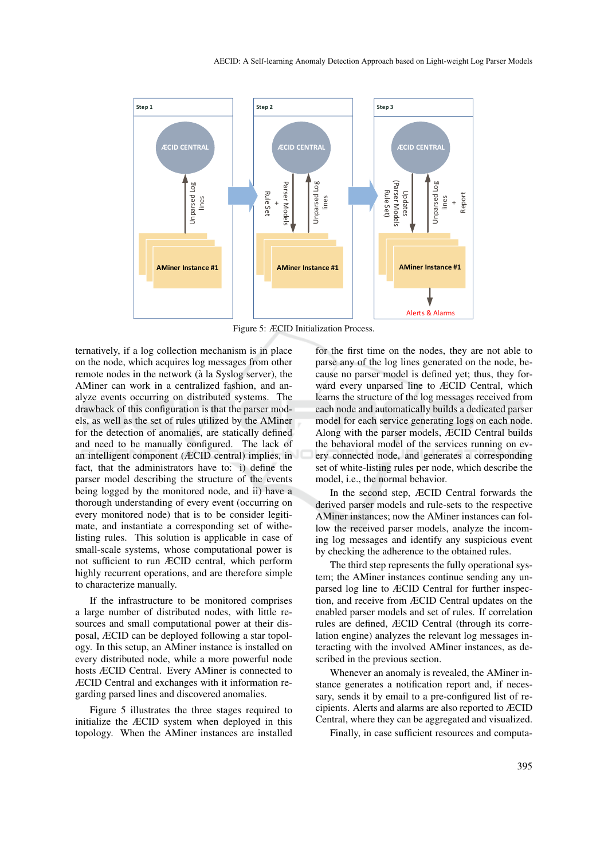

Figure 5: ÆCID Initialization Process.

ternatively, if a log collection mechanism is in place on the node, which acquires log messages from other remote nodes in the network (à la Syslog server), the AMiner can work in a centralized fashion, and analyze events occurring on distributed systems. The drawback of this configuration is that the parser models, as well as the set of rules utilized by the AMiner for the detection of anomalies, are statically defined and need to be manually configured. The lack of an intelligent component (ÆCID central) implies, in fact, that the administrators have to: i) define the parser model describing the structure of the events being logged by the monitored node, and ii) have a thorough understanding of every event (occurring on every monitored node) that is to be consider legitimate, and instantiate a corresponding set of withelisting rules. This solution is applicable in case of small-scale systems, whose computational power is not sufficient to run ÆCID central, which perform highly recurrent operations, and are therefore simple to characterize manually.

If the infrastructure to be monitored comprises a large number of distributed nodes, with little resources and small computational power at their disposal, ÆCID can be deployed following a star topology. In this setup, an AMiner instance is installed on every distributed node, while a more powerful node hosts ÆCID Central. Every AMiner is connected to ÆCID Central and exchanges with it information regarding parsed lines and discovered anomalies.

Figure 5 illustrates the three stages required to initialize the ÆCID system when deployed in this topology. When the AMiner instances are installed

for the first time on the nodes, they are not able to parse any of the log lines generated on the node, because no parser model is defined yet; thus, they forward every unparsed line to ÆCID Central, which learns the structure of the log messages received from each node and automatically builds a dedicated parser model for each service generating logs on each node. Along with the parser models, ÆCID Central builds the behavioral model of the services running on every connected node, and generates a corresponding set of white-listing rules per node, which describe the model, i.e., the normal behavior.

In the second step, ÆCID Central forwards the derived parser models and rule-sets to the respective AMiner instances; now the AMiner instances can follow the received parser models, analyze the incoming log messages and identify any suspicious event by checking the adherence to the obtained rules.

The third step represents the fully operational system; the AMiner instances continue sending any unparsed log line to ÆCID Central for further inspection, and receive from ÆCID Central updates on the enabled parser models and set of rules. If correlation rules are defined, ÆCID Central (through its correlation engine) analyzes the relevant log messages interacting with the involved AMiner instances, as described in the previous section.

Whenever an anomaly is revealed, the AMiner instance generates a notification report and, if necessary, sends it by email to a pre-configured list of recipients. Alerts and alarms are also reported to ÆCID Central, where they can be aggregated and visualized.

Finally, in case sufficient resources and computa-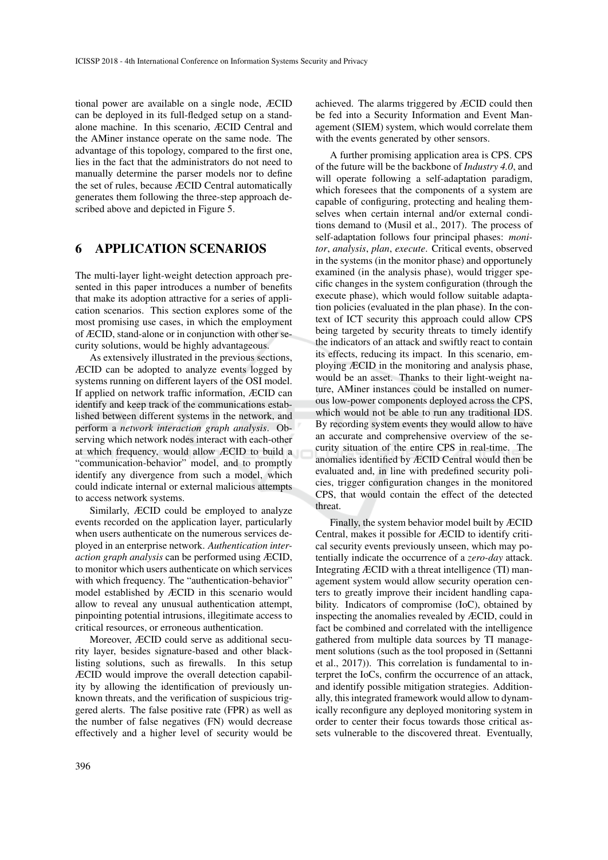tional power are available on a single node, ÆCID can be deployed in its full-fledged setup on a standalone machine. In this scenario, ÆCID Central and the AMiner instance operate on the same node. The advantage of this topology, compared to the first one, lies in the fact that the administrators do not need to manually determine the parser models nor to define the set of rules, because ÆCID Central automatically generates them following the three-step approach described above and depicted in Figure 5.

### 6 APPLICATION SCENARIOS

The multi-layer light-weight detection approach presented in this paper introduces a number of benefits that make its adoption attractive for a series of application scenarios. This section explores some of the most promising use cases, in which the employment of ÆCID, stand-alone or in conjunction with other security solutions, would be highly advantageous.

As extensively illustrated in the previous sections, ÆCID can be adopted to analyze events logged by systems running on different layers of the OSI model. If applied on network traffic information, ÆCID can identify and keep track of the communications established between different systems in the network, and perform a *network interaction graph analysis*. Observing which network nodes interact with each-other at which frequency, would allow ÆCID to build a "communication-behavior" model, and to promptly identify any divergence from such a model, which could indicate internal or external malicious attempts to access network systems.

Similarly, ÆCID could be employed to analyze events recorded on the application layer, particularly when users authenticate on the numerous services deployed in an enterprise network. *Authentication interaction graph analysis* can be performed using ÆCID, to monitor which users authenticate on which services with which frequency. The "authentication-behavior" model established by ÆCID in this scenario would allow to reveal any unusual authentication attempt, pinpointing potential intrusions, illegitimate access to critical resources, or erroneous authentication.

Moreover, ÆCID could serve as additional security layer, besides signature-based and other blacklisting solutions, such as firewalls. In this setup ÆCID would improve the overall detection capability by allowing the identification of previously unknown threats, and the verification of suspicious triggered alerts. The false positive rate (FPR) as well as the number of false negatives (FN) would decrease effectively and a higher level of security would be

achieved. The alarms triggered by ÆCID could then be fed into a Security Information and Event Management (SIEM) system, which would correlate them with the events generated by other sensors.

A further promising application area is CPS. CPS of the future will be the backbone of *Industry 4.0*, and will operate following a self-adaptation paradigm, which foresees that the components of a system are capable of configuring, protecting and healing themselves when certain internal and/or external conditions demand to (Musil et al., 2017). The process of self-adaptation follows four principal phases: *monitor*, *analysis*, *plan*, *execute*. Critical events, observed in the systems (in the monitor phase) and opportunely examined (in the analysis phase), would trigger specific changes in the system configuration (through the execute phase), which would follow suitable adaptation policies (evaluated in the plan phase). In the context of ICT security this approach could allow CPS being targeted by security threats to timely identify the indicators of an attack and swiftly react to contain its effects, reducing its impact. In this scenario, employing ÆCID in the monitoring and analysis phase, would be an asset. Thanks to their light-weight nature, AMiner instances could be installed on numerous low-power components deployed across the CPS, which would not be able to run any traditional IDS. By recording system events they would allow to have an accurate and comprehensive overview of the security situation of the entire CPS in real-time. The anomalies identified by ÆCID Central would then be evaluated and, in line with predefined security policies, trigger configuration changes in the monitored CPS, that would contain the effect of the detected threat.

Finally, the system behavior model built by ÆCID Central, makes it possible for ÆCID to identify critical security events previously unseen, which may potentially indicate the occurrence of a *zero-day* attack. Integrating ÆCID with a threat intelligence (TI) management system would allow security operation centers to greatly improve their incident handling capability. Indicators of compromise (IoC), obtained by inspecting the anomalies revealed by ÆCID, could in fact be combined and correlated with the intelligence gathered from multiple data sources by TI management solutions (such as the tool proposed in (Settanni et al., 2017)). This correlation is fundamental to interpret the IoCs, confirm the occurrence of an attack, and identify possible mitigation strategies. Additionally, this integrated framework would allow to dynamically reconfigure any deployed monitoring system in order to center their focus towards those critical assets vulnerable to the discovered threat. Eventually,